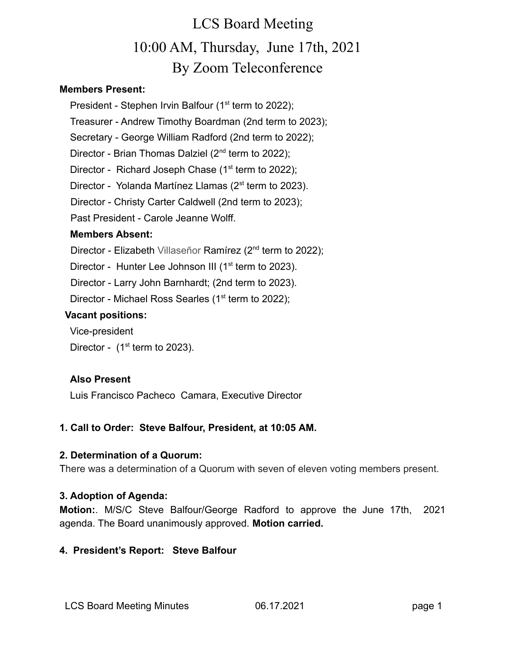#### **Members Present:**

President - Stephen Irvin Balfour (1<sup>st</sup> term to 2022);

Treasurer - Andrew Timothy Boardman (2nd term to 2023);

Secretary - George William Radford (2nd term to 2022);

Director - Brian Thomas Dalziel  $(2^{nd}$  term to 2022);

Director - Richard Joseph Chase  $(1<sup>st</sup>$  term to 2022);

Director - Yolanda Martínez Llamas  $(2<sup>st</sup>$  term to 2023).

Director - Christy Carter Caldwell (2nd term to 2023);

Past President - Carole Jeanne Wolff.

### **Members Absent:**

Director - Elizabeth Villaseñor Ramírez (2<sup>nd</sup> term to 2022);

Director - Hunter Lee Johnson III (1<sup>st</sup> term to 2023).

Director - Larry John Barnhardt; (2nd term to 2023).

Director - Michael Ross Searles ( $1<sup>st</sup>$  term to 2022);

### **Vacant positions:**

Vice-president

Director -  $(1<sup>st</sup>$  term to 2023).

## **Also Present**

Luis Francisco Pacheco Camara, Executive Director

## **1. Call to Order: Steve Balfour, President, at 10:05 AM.**

### **2. Determination of a Quorum:**

There was a determination of a Quorum with seven of eleven voting members present.

## **3. Adoption of Agenda:**

**Motion:**. M/S/C Steve Balfour/George Radford to approve the June 17th, 2021 agenda. The Board unanimously approved. **Motion carried.**

## **4. President's Report: Steve Balfour**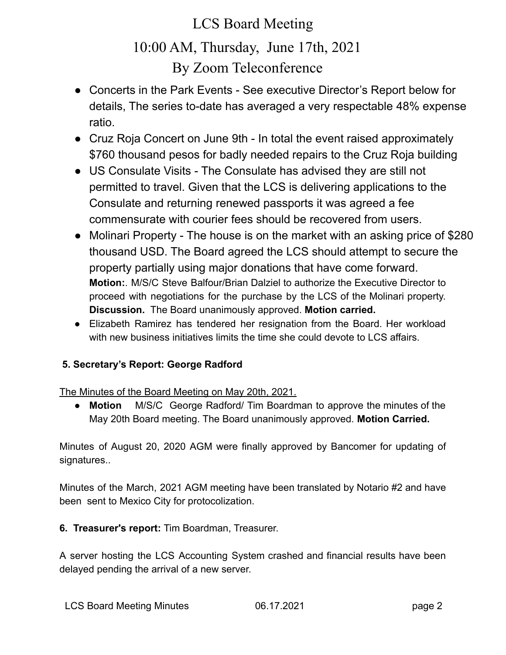- Concerts in the Park Events See executive Director's Report below for details, The series to-date has averaged a very respectable 48% expense ratio.
- Cruz Roja Concert on June 9th In total the event raised approximately \$760 thousand pesos for badly needed repairs to the Cruz Roja building
- US Consulate Visits The Consulate has advised they are still not permitted to travel. Given that the LCS is delivering applications to the Consulate and returning renewed passports it was agreed a fee commensurate with courier fees should be recovered from users.
- Molinari Property The house is on the market with an asking price of \$280 thousand USD. The Board agreed the LCS should attempt to secure the property partially using major donations that have come forward. **Motion:**. M/S/C Steve Balfour/Brian Dalziel to authorize the Executive Director to proceed with negotiations for the purchase by the LCS of the Molinari property. **Discussion.** The Board unanimously approved. **Motion carried.**
- Elizabeth Ramirez has tendered her resignation from the Board. Her workload with new business initiatives limits the time she could devote to LCS affairs.

## **5. Secretary's Report: George Radford**

The Minutes of the Board Meeting on May 20th, 2021.

● **Motion** M/S/C George Radford/ Tim Boardman to approve the minutes of the May 20th Board meeting. The Board unanimously approved. **Motion Carried.**

Minutes of August 20, 2020 AGM were finally approved by Bancomer for updating of signatures..

Minutes of the March, 2021 AGM meeting have been translated by Notario #2 and have been sent to Mexico City for protocolization.

**6. Treasurer's report:** Tim Boardman, Treasurer.

A server hosting the LCS Accounting System crashed and financial results have been delayed pending the arrival of a new server.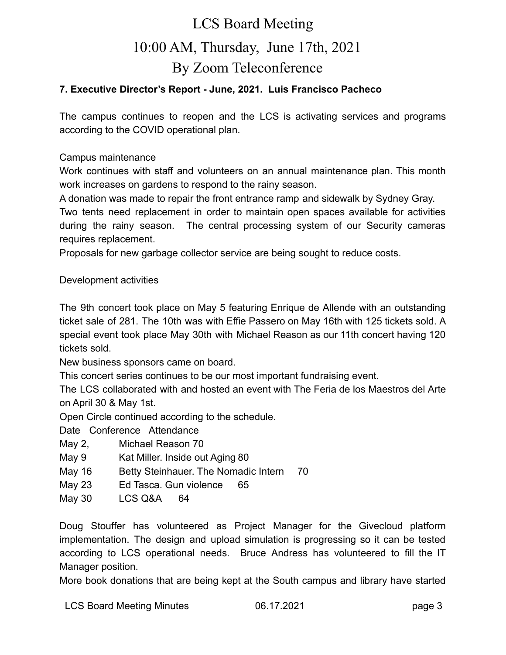### **7. Executive Director's Report - June, 2021. Luis Francisco Pacheco**

The campus continues to reopen and the LCS is activating services and programs according to the COVID operational plan.

Campus maintenance

Work continues with staff and volunteers on an annual maintenance plan. This month work increases on gardens to respond to the rainy season.

A donation was made to repair the front entrance ramp and sidewalk by Sydney Gray.

Two tents need replacement in order to maintain open spaces available for activities during the rainy season. The central processing system of our Security cameras requires replacement.

Proposals for new garbage collector service are being sought to reduce costs.

#### Development activities

The 9th concert took place on May 5 featuring Enrique de Allende with an outstanding ticket sale of 281. The 10th was with Effie Passero on May 16th with 125 tickets sold. A special event took place May 30th with Michael Reason as our 11th concert having 120 tickets sold.

New business sponsors came on board.

This concert series continues to be our most important fundraising event.

The LCS collaborated with and hosted an event with The Feria de los Maestros del Arte on April 30 & May 1st.

Open Circle continued according to the schedule.

Date Conference Attendance

- May 2, Michael Reason 70
- May 9 Kat Miller. Inside out Aging 80
- May 16 Betty Steinhauer. The Nomadic Intern 70
- May 23 Ed Tasca. Gun violence 65
- May 30 LCS Q&A 64

Doug Stouffer has volunteered as Project Manager for the Givecloud platform implementation. The design and upload simulation is progressing so it can be tested according to LCS operational needs. Bruce Andress has volunteered to fill the IT Manager position.

More book donations that are being kept at the South campus and library have started

LCS Board Meeting Minutes 06.17.2021 page 3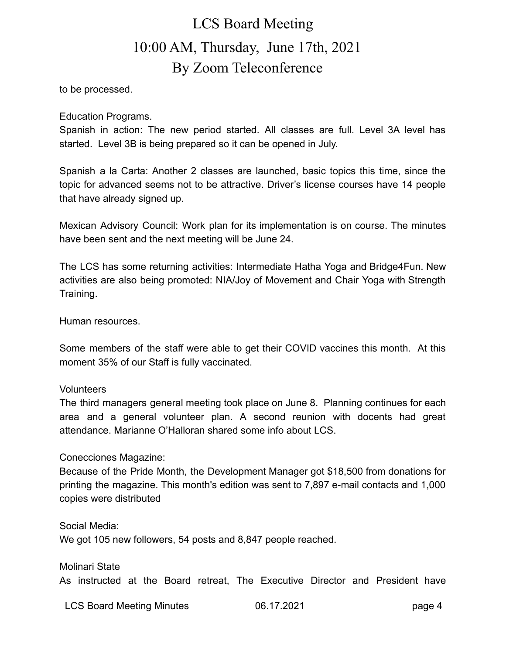to be processed.

Education Programs.

Spanish in action: The new period started. All classes are full. Level 3A level has started. Level 3B is being prepared so it can be opened in July.

Spanish a la Carta: Another 2 classes are launched, basic topics this time, since the topic for advanced seems not to be attractive. Driver's license courses have 14 people that have already signed up.

Mexican Advisory Council: Work plan for its implementation is on course. The minutes have been sent and the next meeting will be June 24.

The LCS has some returning activities: Intermediate Hatha Yoga and Bridge4Fun. New activities are also being promoted: NIA/Joy of Movement and Chair Yoga with Strength Training.

Human resources.

Some members of the staff were able to get their COVID vaccines this month. At this moment 35% of our Staff is fully vaccinated.

#### **Volunteers**

The third managers general meeting took place on June 8. Planning continues for each area and a general volunteer plan. A second reunion with docents had great attendance. Marianne O'Halloran shared some info about LCS.

#### Conecciones Magazine:

Because of the Pride Month, the Development Manager got \$18,500 from donations for printing the magazine. This month's edition was sent to 7,897 e-mail contacts and 1,000 copies were distributed

Social Media: We got 105 new followers, 54 posts and 8,847 people reached.

Molinari State As instructed at the Board retreat, The Executive Director and President have

LCS Board Meeting Minutes 06.17.2021 page 4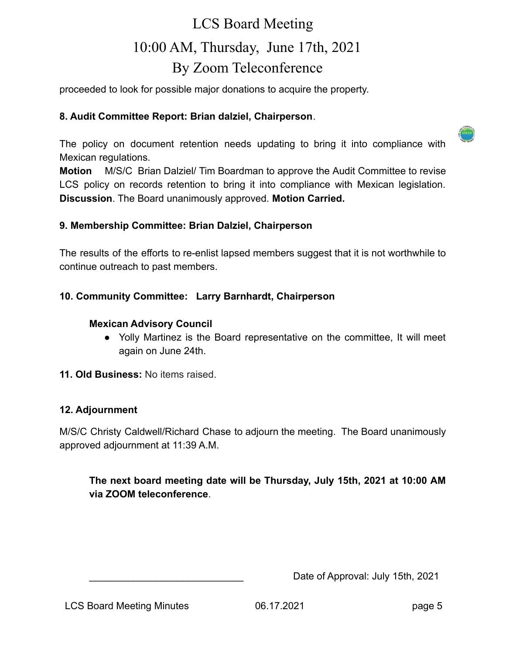proceeded to look for possible major donations to acquire the property.

#### **8. Audit Committee Report: Brian dalziel, Chairperson**.

The policy on document retention needs updating to bring it into compliance with Mexican regulations.

**Motion** M/S/C Brian Dalziel/ Tim Boardman to approve the Audit Committee to revise LCS policy on records retention to bring it into compliance with Mexican legislation. **Discussion**. The Board unanimously approved. **Motion Carried.**

#### **9. Membership Committee: Brian Dalziel, Chairperson**

The results of the efforts to re-enlist lapsed members suggest that it is not worthwhile to continue outreach to past members.

### **10. Community Committee: Larry Barnhardt, Chairperson**

#### **Mexican Advisory Council**

● Yolly Martinez is the Board representative on the committee, It will meet again on June 24th.

**11. Old Business:** No items raised.

#### **12. Adjournment**

M/S/C Christy Caldwell/Richard Chase to adjourn the meeting. The Board unanimously approved adjournment at 11:39 A.M.

**The next board meeting date will be Thursday, July 15th, 2021 at 10:00 AM via ZOOM teleconference**.

Date of Approval: July 15th, 2021

LCS Board Meeting Minutes 06.17.2021 page 5

 $(1)$